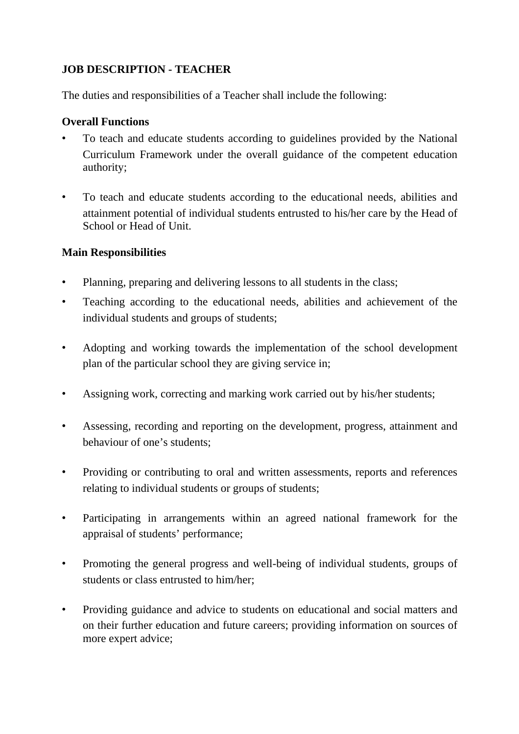## **JOB DESCRIPTION - TEACHER**

The duties and responsibilities of a Teacher shall include the following:

## **Overall Functions**

- To teach and educate students according to guidelines provided by the National Curriculum Framework under the overall guidance of the competent education authority;
- To teach and educate students according to the educational needs, abilities and attainment potential of individual students entrusted to his/her care by the Head of School or Head of Unit.

## **Main Responsibilities**

- Planning, preparing and delivering lessons to all students in the class;
- Teaching according to the educational needs, abilities and achievement of the individual students and groups of students;
- Adopting and working towards the implementation of the school development plan of the particular school they are giving service in;
- Assigning work, correcting and marking work carried out by his/her students;
- Assessing, recording and reporting on the development, progress, attainment and behaviour of one's students;
- Providing or contributing to oral and written assessments, reports and references relating to individual students or groups of students;
- Participating in arrangements within an agreed national framework for the appraisal of students' performance;
- Promoting the general progress and well-being of individual students, groups of students or class entrusted to him/her;
- Providing guidance and advice to students on educational and social matters and on their further education and future careers; providing information on sources of more expert advice;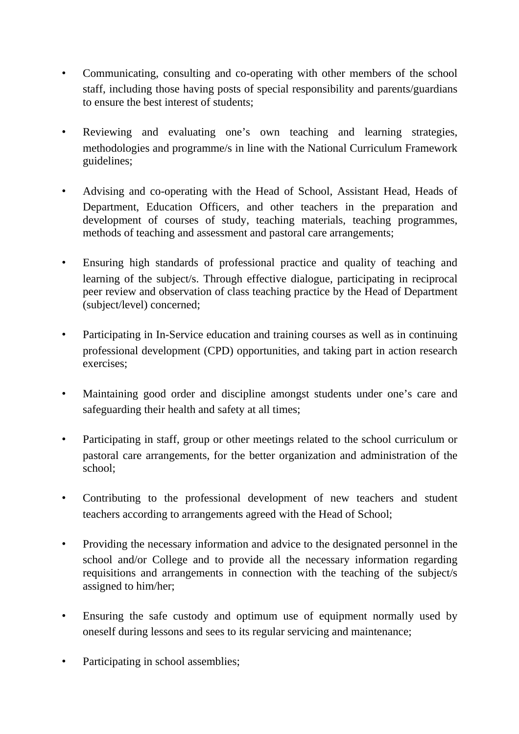- Communicating, consulting and co-operating with other members of the school staff, including those having posts of special responsibility and parents/guardians to ensure the best interest of students;
- Reviewing and evaluating one's own teaching and learning strategies, methodologies and programme/s in line with the National Curriculum Framework guidelines;
- Advising and co-operating with the Head of School, Assistant Head, Heads of Department, Education Officers, and other teachers in the preparation and development of courses of study, teaching materials, teaching programmes, methods of teaching and assessment and pastoral care arrangements;
- Ensuring high standards of professional practice and quality of teaching and learning of the subject/s. Through effective dialogue, participating in reciprocal peer review and observation of class teaching practice by the Head of Department (subject/level) concerned;
- Participating in In-Service education and training courses as well as in continuing professional development (CPD) opportunities, and taking part in action research exercises;
- Maintaining good order and discipline amongst students under one's care and safeguarding their health and safety at all times;
- Participating in staff, group or other meetings related to the school curriculum or pastoral care arrangements, for the better organization and administration of the school;
- Contributing to the professional development of new teachers and student teachers according to arrangements agreed with the Head of School;
- Providing the necessary information and advice to the designated personnel in the school and/or College and to provide all the necessary information regarding requisitions and arrangements in connection with the teaching of the subject/s assigned to him/her;
- Ensuring the safe custody and optimum use of equipment normally used by oneself during lessons and sees to its regular servicing and maintenance;
- Participating in school assemblies;